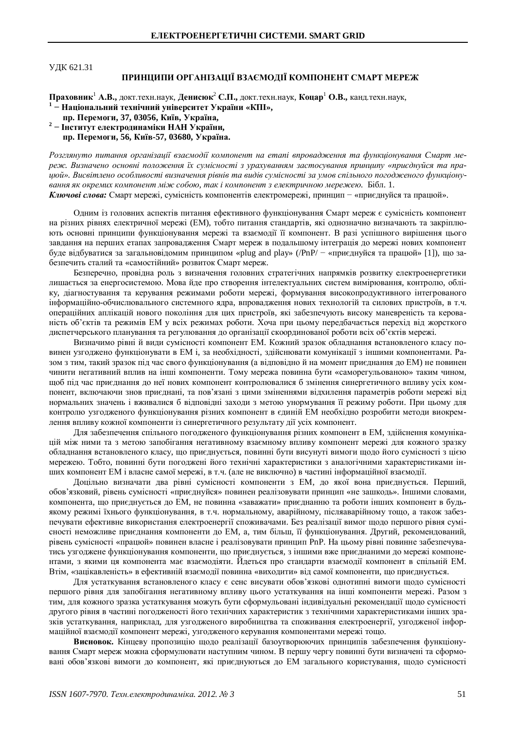## ɍȾɄ 621.31

## ПРИНЦИПИ ОРГАНІЗАЦІЇ ВЗАЄМОДІЇ КОМПОНЕНТ СМАРТ МЕРЕЖ

Праховник<sup>1</sup> А.В., докт.техн.наук, Денисюк<sup>2</sup> С.П., докт.техн.наук, Коцар<sup>1</sup> О.В., канд.техн.наук,

<sup>1</sup> – Національний технічний університет України «КПІ»,

- **пр. Перемоги, 37, 03056, Київ, Україна, 2**
- **Інститут електродинаміки НАН України,**

**пр. Перемоги, 56, Київ-57, 03680, Україна.** 

Розглянуто питання організації взаємодії компонент на етапі впровадження та функціонування Смарт мереж. Визначено основні положення їх сумісності з урахуванням застосування принципу «приєднуйся та пра*ɰɸɣ». ȼɢɫɜɿɬɥɟɧɨɨɫɨɛɥɢɜɨɫɬɿɜɢɡɧɚɱɟɧɧɹɪɿɜɧɿɜɬɚɜɢɞɿɜɫɭɦɿɫɧɨɫɬɿɡɚɭɦɨɜɫɩɿɥɶɧɨɝɨɩɨɝɨɞɠɟɧɨɝɨɮɭɧɤɰɿɨɧɭɜɚɧɧɹɹɤɨɤɪɟɦɢɯɤɨɦɩɨɧɟɧɬɦɿɠɫɨɛɨɸ, ɬɚɤɿɤɨɦɩɨɧɟɧɬɡɟɥɟɤɬɪɢɱɧɨɸɦɟɪɟɠɟɸ.* Ȼɿɛɥ. 1.

Ключові слова: Смарт мережі, сумісність компонентів електромережі, принцип - «приєднуйся та працюй».

Одним із головних аспектів питання ефективного функціонування Смарт мереж є сумісність компонент на різних рівнях електричної мережі (ЕМ), тобто питання стандартів, які однозначно визначають та закріплюють основні принципи функціонування мережі та взаємодії її компонент. В разі успішного вирішення цього завдання на перших етапах запровадження Смарт мереж в подальшому інтеграція до мережі нових компонент буде відбуватися за загальновідомим принципом «plug and play» (/PnP/ – «приєднуйся та працюй» [1]), що забезпечить сталий та «самостійний» розвиток Смарт мереж.

Безперечно, провідна роль з визначення головних стратегічних напрямків розвитку електроенергетики лишається за енергосистемою. Мова йде про створення інтелектуальних систем вимірювання, контролю, обліку, діагностування та керування режимами роботи мережі, формування високопродуктивного інтегрованого інформаційно-обчислювального системного ядра, впровадження нових технологій та силових пристроїв, в т.ч. операційних аплікацій нового покоління для цих пристроїв, які забезпечують високу маневреність та керованість об'єктів та режимів ЕМ у всіх режимах роботи. Хоча при цьому передбачається перехід від жорсткого диспетчерського планування та регулювання до організації скоординованої роботи всіх об'єктів мережі.

Визначимо рівні й види сумісності компонент ЕМ. Кожний зразок обладнання встановленого класу повинен узгоджено функціонувати в ЕМ і, за необхідності, здійснювати комунікації з іншими компонентами. Разом з тим, такий зразок під час свого функціонування (а відповідно й на момент приєднання до ЕМ) не повинен чинити негативний вплив на інші компоненти. Тому мережа повинна бути «саморегульованою» таким чином, щоб під час приєднання до неї нових компонент контролювалися б змінення синергетичного впливу усіх компонент, включаючи знов приєднані, та пов'язані з цими зміненнями відхилення параметрів роботи мережі від нормальних значень і вживалися б відповідні заходи з метою унормування її режиму роботи. При цьому для контролю узгодженого функціонування різних компонент в єдиній ЕМ необхідно розробити методи виокремлення впливу кожної компоненти із синергетичного результату дії усіх компонент.

Для забезпечення спільного погодженого функціонування різних компонент в ЕМ, здійснення комунікацій між ними та з метою запобігання негативному взаємному впливу компонент мережі для кожного зразку обладнання встановленого класу, що приєднується, повинні бути висунуті вимоги щодо його сумісності з цією мережею. Тобто, повинні бути погоджені його технічні характеристики з аналогічними характеристиками інших компонент EM і власне самої мережі, в т.ч. (але не виключно) в частині інформаційної взаємолії.

Доцільно визначати два рівні сумісності компоненти з ЕМ, до якої вона приєднується. Перший, обов'язковий, рівень сумісності «приєднуйся» повинен реалізовувати принцип «не зашкодь». Іншими словами, компонента, що приєднується до ЕМ, не повинна «заважати» приєднанню та роботи інших компонент в будьякому режимі їхнього функціонування, в т.ч. нормальному, аварійному, післяаварійному тощо, а також забезпечувати ефективне використання електроенергії споживачами. Без реалізації вимог щодо першого рівня сумісності неможливе приєднання компоненти до ЕМ, а, тим більш, її функціонування. Другий, рекомендований, рівень сумісності «працюй» повинен власне і реалізовувати принцип PnP. На цьому рівні повинне забезпечуватись узгоджене функціонування компоненти, що приєднується, з іншими вже приєднаними до мережі компонентами, з якими ця компонента має взаємодіяти. Йдеться про стандарти взаємодії компонент в спільній ЕМ. Втім, «зацікавленість» в ефективній взаємодії повинна «виходити» від самої компоненти, що приєднується.

Для устаткування встановленого класу є сенс висувати обов'язкові однотипні вимоги щодо сумісності першого рівня для запобігання негативному впливу цього устаткування на інші компоненти мережі. Разом з тим, для кожного зразка устаткування можуть бути сформульовані індивідуальні рекомендації щодо сумісності другого рівня в частині погодженості його технічних характеристик з технічними характеристиками інших зразків устаткування, наприклад, для узгодженого виробництва та споживання електроенергії, узгодженої інформаційної взаємодії компонент мережі, узгодженого керування компонентами мережі тощо.

Висновок. Кінцеву пропозицію щодо реалізації базоутворюючих принципів забезпечення функціонування Смарт мереж можна сформулювати наступним чином. В першу чергу повинні бути визначені та сформовані обов'язкові вимоги до компонент, які приєднуються до ЕМ загального користування, щодо сумісності